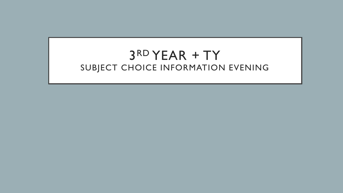# 3 RD YEAR + TY SUBJECT CHOICE INFORMATION EVENING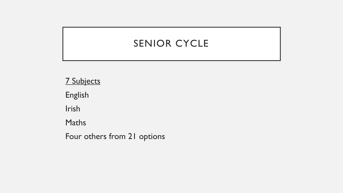## SENIOR CYCLE

7 Subjects English Irish Maths

Four others from 21 options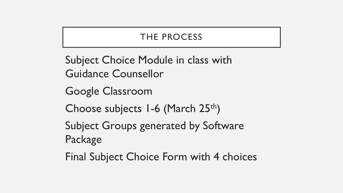## THE PROCESS

Subject Choice Module in class with Guidance Counsellor

Google Classroom

Choose subjects  $1-6$  (March 25<sup>th</sup>)

Subject Groups generated by Software Package

Final Subject Choice Form with 4 choices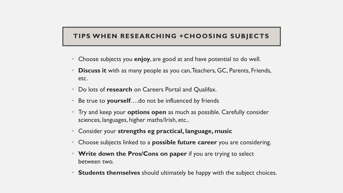#### **TIPS WHEN RESEARCHING +CHOOSING SUBJECTS**

- Choose subjects you **enjoy**, are good at and have potential to do well.
- **Discuss it** with as many people as you can, Teachers, GC, Parents, Friends, etc.
- Do lots of **research** on Careers Portal and Qualifax.
- Be true to **yourself**....do not be influenced by friends
- Try and keep your **options open** as much as possible. Carefully consider sciences, languages, higher maths/Irish, etc..
- Consider your **strengths eg practical, language, music**
- Choose subjects linked to a **possible future career** you are considering.
- **Write down the Pros/Cons on paper** if you are trying to select between two.
- **Students themselves** should ultimately be happy with the subject choices.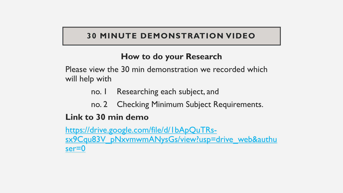#### **30 MINUTE DEMONSTRATION VIDEO**

### **How to do your Research**

Please view the 30 min demonstration we recorded which will help with

- no. 1 Researching each subject, and
- no. 2 Checking Minimum Subject Requirements.

#### **Link to 30 min demo**

https://drive.google.com/file/d/1bApQuTRs[sx9Cqu83V\\_pNxvmwmANysGs/view?usp=drive\\_web&authu](https://drive.google.com/file/d/1bApQuTRs-sx9Cqu83V_pNxvmwmANysGs/view?usp=drive_web&authuser=0) ser=0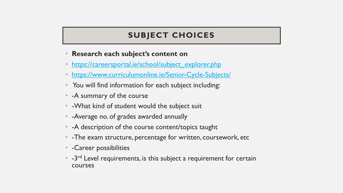#### **SUBJECT CHOICES**

- **Research each subject's content on**
- [https://careersportal.ie/school/subject\\_explorer.php](https://careersportal.ie/school/subject_explorer.php)
- <https://www.curriculumonline.ie/Senior-Cycle-Subjects/>
- You will find information for each subject including:
- -A summary of the course
- - What kind of student would the subject suit
- -Average no. of grades awarded annually
- -A description of the course content/topics taught
- -The exam structure, percentage for written, coursework, etc
- -Career possibilities
- $\bullet$  -3<sup>rd</sup> Level requirements, is this subject a requirement for certain courses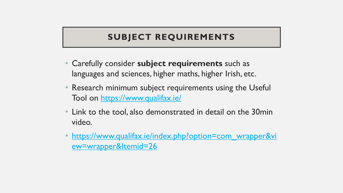## **SUBJECT REQUIREMENTS**

- Carefully consider **subject requirements** such as languages and sciences, higher maths, higher Irish, etc.
- Research minimum subject requirements using the Useful Tool on<https://www.qualifax.ie/>
- Link to the tool, also demonstrated in detail on the 30min video.
- [https://www.qualifax.ie/index.php?option=com\\_wrapper&vi](https://www.qualifax.ie/index.php?option=com_wrapper&view=wrapper&Itemid=26) ew=wrapper&Itemid=26